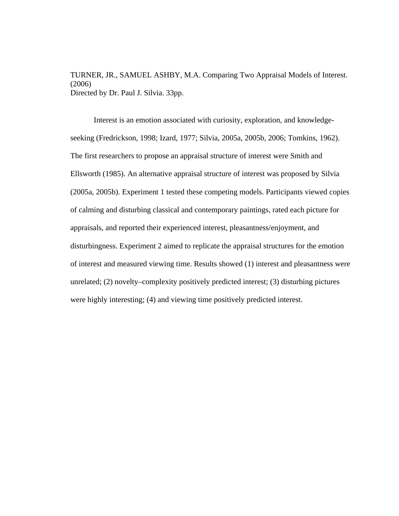TURNER, JR., SAMUEL ASHBY, M.A. Comparing Two Appraisal Models of Interest. (2006) Directed by Dr. Paul J. Silvia. 33pp.

Interest is an emotion associated with curiosity, exploration, and knowledgeseeking (Fredrickson, 1998; Izard, 1977; Silvia, 2005a, 2005b, 2006; Tomkins, 1962). The first researchers to propose an appraisal structure of interest were Smith and Ellsworth (1985). An alternative appraisal structure of interest was proposed by Silvia (2005a, 2005b). Experiment 1 tested these competing models. Participants viewed copies of calming and disturbing classical and contemporary paintings, rated each picture for appraisals, and reported their experienced interest, pleasantness/enjoyment, and disturbingness. Experiment 2 aimed to replicate the appraisal structures for the emotion of interest and measured viewing time. Results showed (1) interest and pleasantness were unrelated; (2) novelty–complexity positively predicted interest; (3) disturbing pictures were highly interesting; (4) and viewing time positively predicted interest.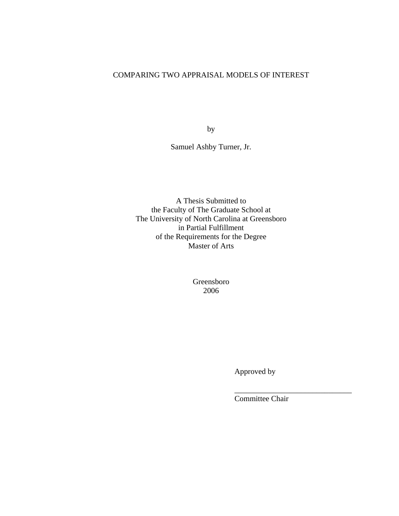# COMPARING TWO APPRAISAL MODELS OF INTEREST

by

Samuel Ashby Turner, Jr.

A Thesis Submitted to the Faculty of The Graduate School at The University of North Carolina at Greensboro in Partial Fulfillment of the Requirements for the Degree Master of Arts

> Greensboro 2006

> > Approved by

Committee Chair

\_\_\_\_\_\_\_\_\_\_\_\_\_\_\_\_\_\_\_\_\_\_\_\_\_\_\_\_\_\_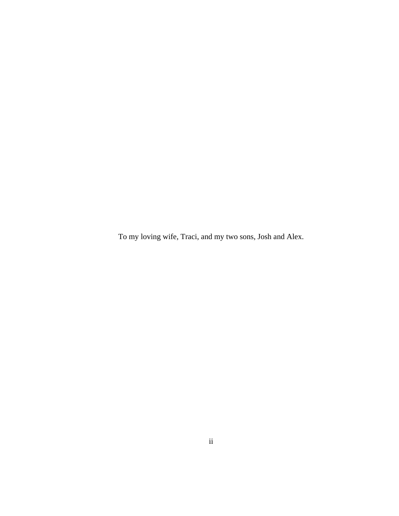To my loving wife, Traci, and my two sons, Josh and Alex.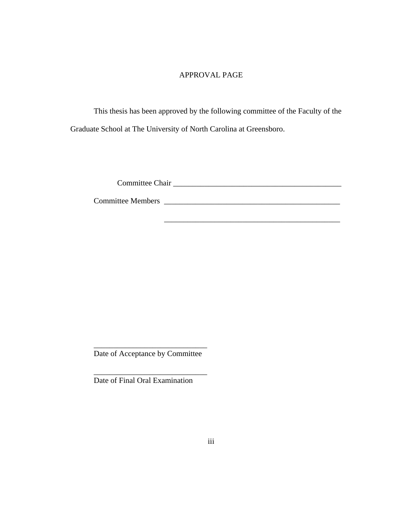## APPROVAL PAGE

This thesis has been approved by the following committee of the Faculty of the Graduate School at The University of North Carolina at Greensboro.

Committee Chair Lease Chair Lease Committee Chair Lease Committee Chair Lease Committee Chair Lease Committee

Committee Members \_\_\_\_\_\_\_\_\_\_\_\_\_\_\_\_\_\_\_\_\_\_\_\_\_\_\_\_\_\_\_\_\_\_\_\_\_\_\_\_\_\_\_\_\_

 $\overline{\phantom{a}}$  , and the contract of the contract of the contract of the contract of the contract of the contract of the contract of the contract of the contract of the contract of the contract of the contract of the contrac

\_\_\_\_\_\_\_\_\_\_\_\_\_\_\_\_\_\_\_\_\_\_\_\_\_\_\_\_\_ Date of Acceptance by Committee

\_\_\_\_\_\_\_\_\_\_\_\_\_\_\_\_\_\_\_\_\_\_\_\_\_\_\_\_\_

Date of Final Oral Examination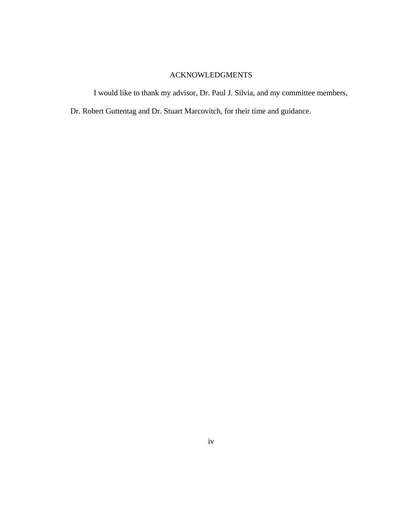# ACKNOWLEDGMENTS

I would like to thank my advisor, Dr. Paul J. Silvia, and my committee members,

Dr. Robert Guttentag and Dr. Stuart Marcovitch, for their time and guidance.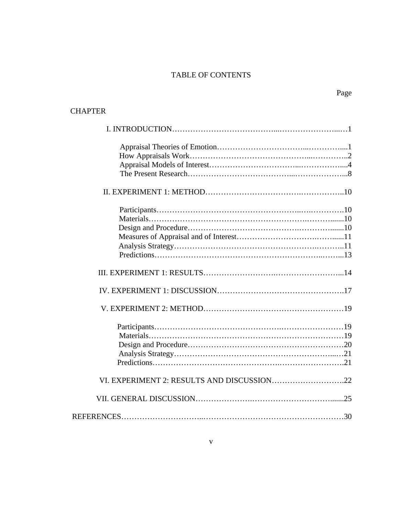# TABLE OF CONTENTS

# **CHAPTER**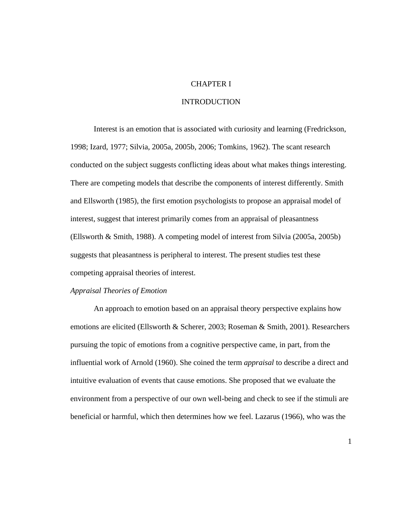### CHAPTER I

#### INTRODUCTION

Interest is an emotion that is associated with curiosity and learning (Fredrickson, 1998; Izard, 1977; Silvia, 2005a, 2005b, 2006; Tomkins, 1962). The scant research conducted on the subject suggests conflicting ideas about what makes things interesting. There are competing models that describe the components of interest differently. Smith and Ellsworth (1985), the first emotion psychologists to propose an appraisal model of interest, suggest that interest primarily comes from an appraisal of pleasantness (Ellsworth & Smith, 1988). A competing model of interest from Silvia (2005a, 2005b) suggests that pleasantness is peripheral to interest. The present studies test these competing appraisal theories of interest.

#### *Appraisal Theories of Emotion*

An approach to emotion based on an appraisal theory perspective explains how emotions are elicited (Ellsworth & Scherer, 2003; Roseman & Smith, 2001). Researchers pursuing the topic of emotions from a cognitive perspective came, in part, from the influential work of Arnold (1960). She coined the term *appraisal* to describe a direct and intuitive evaluation of events that cause emotions. She proposed that we evaluate the environment from a perspective of our own well-being and check to see if the stimuli are beneficial or harmful, which then determines how we feel. Lazarus (1966), who was the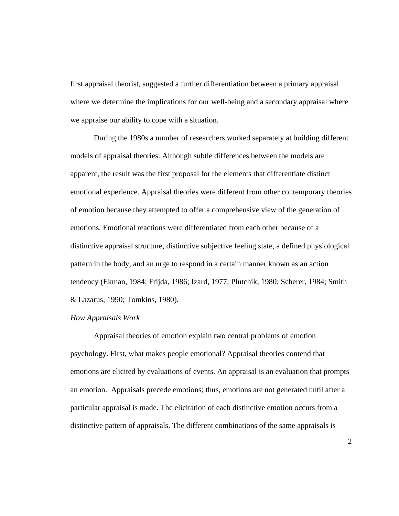first appraisal theorist, suggested a further differentiation between a primary appraisal where we determine the implications for our well-being and a secondary appraisal where we appraise our ability to cope with a situation.

During the 1980s a number of researchers worked separately at building different models of appraisal theories. Although subtle differences between the models are apparent, the result was the first proposal for the elements that differentiate distinct emotional experience. Appraisal theories were different from other contemporary theories of emotion because they attempted to offer a comprehensive view of the generation of emotions. Emotional reactions were differentiated from each other because of a distinctive appraisal structure, distinctive subjective feeling state, a defined physiological pattern in the body, and an urge to respond in a certain manner known as an action tendency (Ekman, 1984; Frijda, 1986; Izard, 1977; Plutchik, 1980; Scherer, 1984; Smith & Lazarus, 1990; Tomkins, 1980).

#### *How Appraisals Work*

Appraisal theories of emotion explain two central problems of emotion psychology. First, what makes people emotional? Appraisal theories contend that emotions are elicited by evaluations of events. An appraisal is an evaluation that prompts an emotion. Appraisals precede emotions; thus, emotions are not generated until after a particular appraisal is made. The elicitation of each distinctive emotion occurs from a distinctive pattern of appraisals. The different combinations of the same appraisals is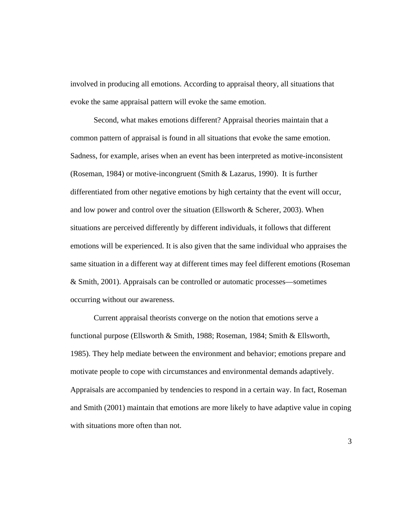involved in producing all emotions. According to appraisal theory, all situations that evoke the same appraisal pattern will evoke the same emotion.

Second, what makes emotions different? Appraisal theories maintain that a common pattern of appraisal is found in all situations that evoke the same emotion. Sadness, for example, arises when an event has been interpreted as motive-inconsistent (Roseman, 1984) or motive-incongruent (Smith & Lazarus, 1990). It is further differentiated from other negative emotions by high certainty that the event will occur, and low power and control over the situation (Ellsworth & Scherer, 2003). When situations are perceived differently by different individuals, it follows that different emotions will be experienced. It is also given that the same individual who appraises the same situation in a different way at different times may feel different emotions (Roseman & Smith, 2001). Appraisals can be controlled or automatic processes—sometimes occurring without our awareness.

Current appraisal theorists converge on the notion that emotions serve a functional purpose (Ellsworth & Smith, 1988; Roseman, 1984; Smith & Ellsworth, 1985). They help mediate between the environment and behavior; emotions prepare and motivate people to cope with circumstances and environmental demands adaptively. Appraisals are accompanied by tendencies to respond in a certain way. In fact, Roseman and Smith (2001) maintain that emotions are more likely to have adaptive value in coping with situations more often than not.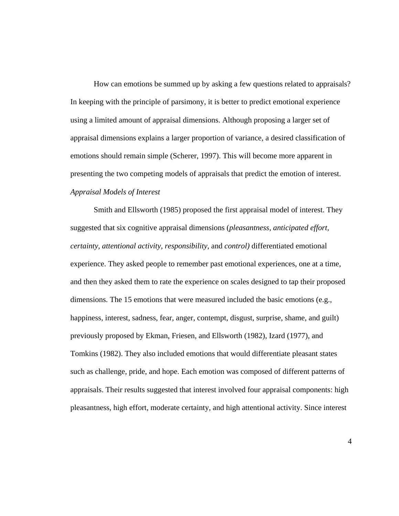How can emotions be summed up by asking a few questions related to appraisals? In keeping with the principle of parsimony, it is better to predict emotional experience using a limited amount of appraisal dimensions. Although proposing a larger set of appraisal dimensions explains a larger proportion of variance, a desired classification of emotions should remain simple (Scherer, 1997). This will become more apparent in presenting the two competing models of appraisals that predict the emotion of interest. *Appraisal Models of Interest*

 Smith and Ellsworth (1985) proposed the first appraisal model of interest. They suggested that six cognitive appraisal dimensions (*pleasantness, anticipated effort, certainty, attentional activity, responsibility,* and *control)* differentiated emotional experience. They asked people to remember past emotional experiences, one at a time, and then they asked them to rate the experience on scales designed to tap their proposed dimensions. The 15 emotions that were measured included the basic emotions (e.g., happiness, interest, sadness, fear, anger, contempt, disgust, surprise, shame, and guilt) previously proposed by Ekman, Friesen, and Ellsworth (1982), Izard (1977), and Tomkins (1982). They also included emotions that would differentiate pleasant states such as challenge, pride, and hope. Each emotion was composed of different patterns of appraisals. Their results suggested that interest involved four appraisal components: high pleasantness, high effort, moderate certainty, and high attentional activity. Since interest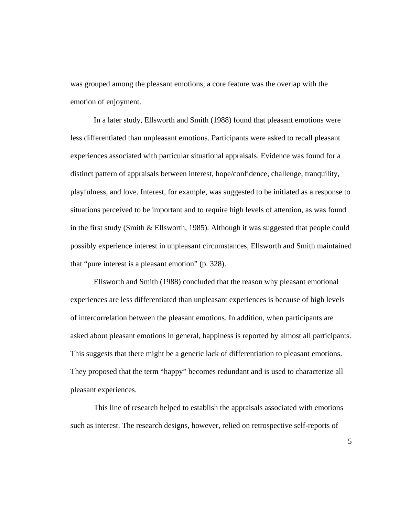was grouped among the pleasant emotions, a core feature was the overlap with the emotion of enjoyment.

 In a later study, Ellsworth and Smith (1988) found that pleasant emotions were less differentiated than unpleasant emotions. Participants were asked to recall pleasant experiences associated with particular situational appraisals. Evidence was found for a distinct pattern of appraisals between interest, hope/confidence, challenge, tranquility, playfulness, and love. Interest, for example, was suggested to be initiated as a response to situations perceived to be important and to require high levels of attention, as was found in the first study (Smith & Ellsworth, 1985). Although it was suggested that people could possibly experience interest in unpleasant circumstances, Ellsworth and Smith maintained that "pure interest is a pleasant emotion" (p. 328).

Ellsworth and Smith (1988) concluded that the reason why pleasant emotional experiences are less differentiated than unpleasant experiences is because of high levels of intercorrelation between the pleasant emotions. In addition, when participants are asked about pleasant emotions in general, happiness is reported by almost all participants. This suggests that there might be a generic lack of differentiation to pleasant emotions. They proposed that the term "happy" becomes redundant and is used to characterize all pleasant experiences.

This line of research helped to establish the appraisals associated with emotions such as interest. The research designs, however, relied on retrospective self-reports of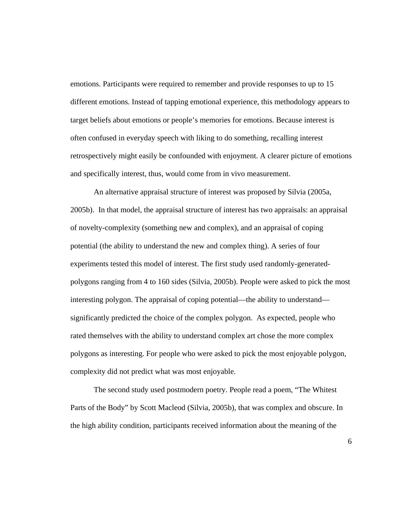emotions. Participants were required to remember and provide responses to up to 15 different emotions. Instead of tapping emotional experience, this methodology appears to target beliefs about emotions or people's memories for emotions. Because interest is often confused in everyday speech with liking to do something, recalling interest retrospectively might easily be confounded with enjoyment. A clearer picture of emotions and specifically interest, thus, would come from in vivo measurement.

An alternative appraisal structure of interest was proposed by Silvia (2005a, 2005b). In that model, the appraisal structure of interest has two appraisals: an appraisal of novelty-complexity (something new and complex), and an appraisal of coping potential (the ability to understand the new and complex thing). A series of four experiments tested this model of interest. The first study used randomly-generatedpolygons ranging from 4 to 160 sides (Silvia, 2005b). People were asked to pick the most interesting polygon. The appraisal of coping potential—the ability to understand significantly predicted the choice of the complex polygon. As expected, people who rated themselves with the ability to understand complex art chose the more complex polygons as interesting. For people who were asked to pick the most enjoyable polygon, complexity did not predict what was most enjoyable.

The second study used postmodern poetry. People read a poem, "The Whitest Parts of the Body" by Scott Macleod (Silvia, 2005b), that was complex and obscure. In the high ability condition, participants received information about the meaning of the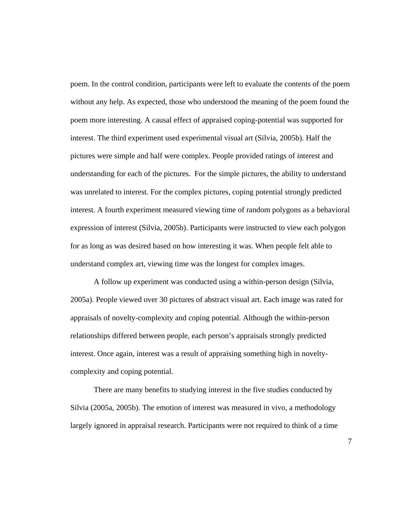poem. In the control condition, participants were left to evaluate the contents of the poem without any help. As expected, those who understood the meaning of the poem found the poem more interesting. A causal effect of appraised coping-potential was supported for interest. The third experiment used experimental visual art (Silvia, 2005b). Half the pictures were simple and half were complex. People provided ratings of interest and understanding for each of the pictures. For the simple pictures, the ability to understand was unrelated to interest. For the complex pictures, coping potential strongly predicted interest. A fourth experiment measured viewing time of random polygons as a behavioral expression of interest (Silvia, 2005b). Participants were instructed to view each polygon for as long as was desired based on how interesting it was. When people felt able to understand complex art, viewing time was the longest for complex images.

 A follow up experiment was conducted using a within-person design (Silvia, 2005a). People viewed over 30 pictures of abstract visual art. Each image was rated for appraisals of novelty-complexity and coping potential. Although the within-person relationships differed between people, each person's appraisals strongly predicted interest. Once again, interest was a result of appraising something high in noveltycomplexity and coping potential.

There are many benefits to studying interest in the five studies conducted by Silvia (2005a, 2005b). The emotion of interest was measured in vivo, a methodology largely ignored in appraisal research. Participants were not required to think of a time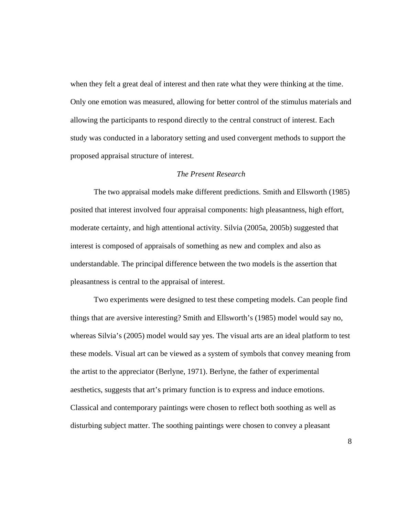when they felt a great deal of interest and then rate what they were thinking at the time. Only one emotion was measured, allowing for better control of the stimulus materials and allowing the participants to respond directly to the central construct of interest. Each study was conducted in a laboratory setting and used convergent methods to support the proposed appraisal structure of interest.

#### *The Present Research*

The two appraisal models make different predictions. Smith and Ellsworth (1985) posited that interest involved four appraisal components: high pleasantness, high effort, moderate certainty, and high attentional activity. Silvia (2005a, 2005b) suggested that interest is composed of appraisals of something as new and complex and also as understandable. The principal difference between the two models is the assertion that pleasantness is central to the appraisal of interest.

Two experiments were designed to test these competing models. Can people find things that are aversive interesting? Smith and Ellsworth's (1985) model would say no, whereas Silvia's (2005) model would say yes. The visual arts are an ideal platform to test these models. Visual art can be viewed as a system of symbols that convey meaning from the artist to the appreciator (Berlyne, 1971). Berlyne, the father of experimental aesthetics, suggests that art's primary function is to express and induce emotions. Classical and contemporary paintings were chosen to reflect both soothing as well as disturbing subject matter. The soothing paintings were chosen to convey a pleasant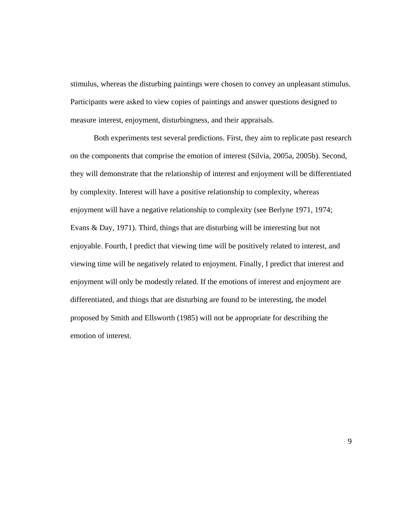stimulus, whereas the disturbing paintings were chosen to convey an unpleasant stimulus. Participants were asked to view copies of paintings and answer questions designed to measure interest, enjoyment, disturbingness, and their appraisals.

Both experiments test several predictions. First, they aim to replicate past research on the components that comprise the emotion of interest (Silvia, 2005a, 2005b). Second, they will demonstrate that the relationship of interest and enjoyment will be differentiated by complexity. Interest will have a positive relationship to complexity, whereas enjoyment will have a negative relationship to complexity (see Berlyne 1971, 1974; Evans & Day, 1971). Third, things that are disturbing will be interesting but not enjoyable. Fourth, I predict that viewing time will be positively related to interest, and viewing time will be negatively related to enjoyment. Finally, I predict that interest and enjoyment will only be modestly related. If the emotions of interest and enjoyment are differentiated, and things that are disturbing are found to be interesting, the model proposed by Smith and Ellsworth (1985) will not be appropriate for describing the emotion of interest.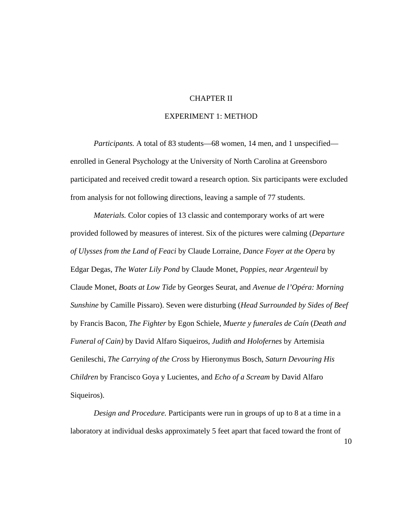#### CHAPTER II

### EXPERIMENT 1: METHOD

*Participants.* A total of 83 students—68 women, 14 men, and 1 unspecified enrolled in General Psychology at the University of North Carolina at Greensboro participated and received credit toward a research option. Six participants were excluded from analysis for not following directions, leaving a sample of 77 students.

*Materials.* Color copies of 13 classic and contemporary works of art were provided followed by measures of interest. Six of the pictures were calming (*Departure of Ulysses from the Land of Feaci* by Claude Lorraine, *Dance Foyer at the Opera* by Edgar Degas, *The Water Lily Pond* by Claude Monet, *Poppies, near Argenteuil* by Claude Monet, *Boats at Low Tide* by Georges Seurat, and *Avenue de l'Opéra: Morning Sunshine* by Camille Pissaro). Seven were disturbing (*Head Surrounded by Sides of Beef* by Francis Bacon, *The Fighter* by Egon Schiele, *Muerte y funerales de Caín* (*Death and Funeral of Cain)* by David Alfaro Siqueiros, *Judith and Holofernes* by Artemisia Genileschi, *The Carrying of the Cross* by Hieronymus Bosch, *Saturn Devouring His Children* by Francisco Goya y Lucientes, and *Echo of a Scream* by David Alfaro Siqueiros).

*Design and Procedure.* Participants were run in groups of up to 8 at a time in a laboratory at individual desks approximately 5 feet apart that faced toward the front of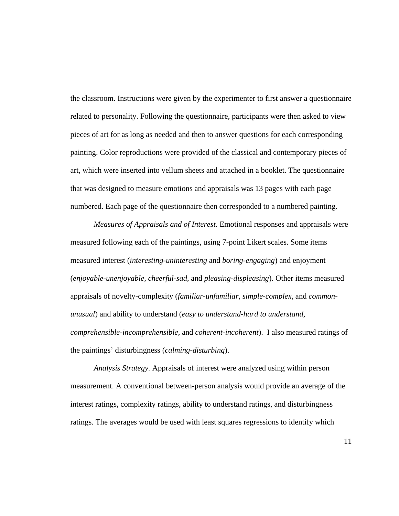the classroom. Instructions were given by the experimenter to first answer a questionnaire related to personality. Following the questionnaire, participants were then asked to view pieces of art for as long as needed and then to answer questions for each corresponding painting. Color reproductions were provided of the classical and contemporary pieces of art, which were inserted into vellum sheets and attached in a booklet. The questionnaire that was designed to measure emotions and appraisals was 13 pages with each page numbered. Each page of the questionnaire then corresponded to a numbered painting.

*Measures of Appraisals and of Interest.* Emotional responses and appraisals were measured following each of the paintings, using 7-point Likert scales. Some items measured interest (*interesting-uninteresting* and *boring-engaging*) and enjoyment (*enjoyable-unenjoyable, cheerful-sad,* and *pleasing-displeasing*). Other items measured appraisals of novelty-complexity (*familiar-unfamiliar, simple-complex,* and *commonunusual*) and ability to understand (*easy to understand-hard to understand, comprehensible-incomprehensible,* and *coherent-incoherent*). I also measured ratings of the paintings' disturbingness (*calming-disturbing*).

*Analysis Strategy.* Appraisals of interest were analyzed using within person measurement. A conventional between-person analysis would provide an average of the interest ratings, complexity ratings, ability to understand ratings, and disturbingness ratings. The averages would be used with least squares regressions to identify which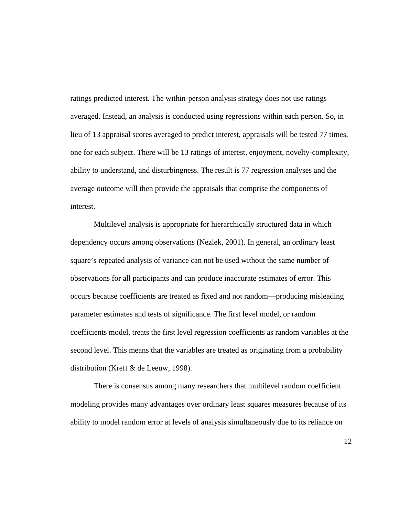ratings predicted interest. The within-person analysis strategy does not use ratings averaged. Instead, an analysis is conducted using regressions within each person. So, in lieu of 13 appraisal scores averaged to predict interest, appraisals will be tested 77 times, one for each subject. There will be 13 ratings of interest, enjoyment, novelty-complexity, ability to understand, and disturbingness. The result is 77 regression analyses and the average outcome will then provide the appraisals that comprise the components of interest.

 Multilevel analysis is appropriate for hierarchically structured data in which dependency occurs among observations (Nezlek, 2001). In general, an ordinary least square's repeated analysis of variance can not be used without the same number of observations for all participants and can produce inaccurate estimates of error. This occurs because coefficients are treated as fixed and not random—producing misleading parameter estimates and tests of significance. The first level model, or random coefficients model, treats the first level regression coefficients as random variables at the second level. This means that the variables are treated as originating from a probability distribution (Kreft & de Leeuw, 1998).

 There is consensus among many researchers that multilevel random coefficient modeling provides many advantages over ordinary least squares measures because of its ability to model random error at levels of analysis simultaneously due to its reliance on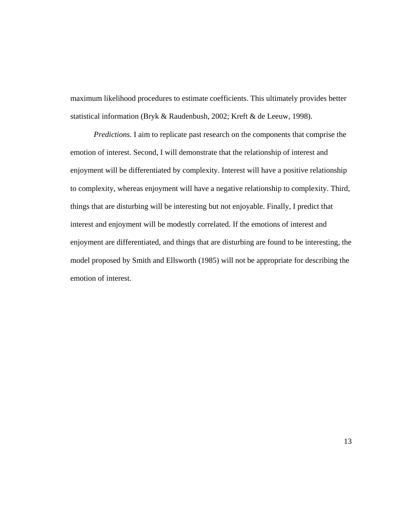maximum likelihood procedures to estimate coefficients. This ultimately provides better statistical information (Bryk & Raudenbush, 2002; Kreft & de Leeuw, 1998).

*Predictions.* I aim to replicate past research on the components that comprise the emotion of interest. Second, I will demonstrate that the relationship of interest and enjoyment will be differentiated by complexity. Interest will have a positive relationship to complexity, whereas enjoyment will have a negative relationship to complexity. Third, things that are disturbing will be interesting but not enjoyable. Finally, I predict that interest and enjoyment will be modestly correlated. If the emotions of interest and enjoyment are differentiated, and things that are disturbing are found to be interesting, the model proposed by Smith and Ellsworth (1985) will not be appropriate for describing the emotion of interest.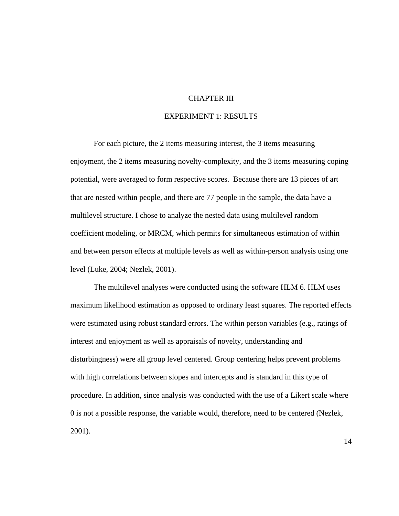#### CHAPTER III

#### EXPERIMENT 1: RESULTS

For each picture, the 2 items measuring interest, the 3 items measuring enjoyment, the 2 items measuring novelty-complexity, and the 3 items measuring coping potential, were averaged to form respective scores. Because there are 13 pieces of art that are nested within people, and there are 77 people in the sample, the data have a multilevel structure. I chose to analyze the nested data using multilevel random coefficient modeling, or MRCM, which permits for simultaneous estimation of within and between person effects at multiple levels as well as within-person analysis using one level (Luke, 2004; Nezlek, 2001).

The multilevel analyses were conducted using the software HLM 6. HLM uses maximum likelihood estimation as opposed to ordinary least squares. The reported effects were estimated using robust standard errors. The within person variables (e.g., ratings of interest and enjoyment as well as appraisals of novelty, understanding and disturbingness) were all group level centered. Group centering helps prevent problems with high correlations between slopes and intercepts and is standard in this type of procedure. In addition, since analysis was conducted with the use of a Likert scale where 0 is not a possible response, the variable would, therefore, need to be centered (Nezlek, 2001).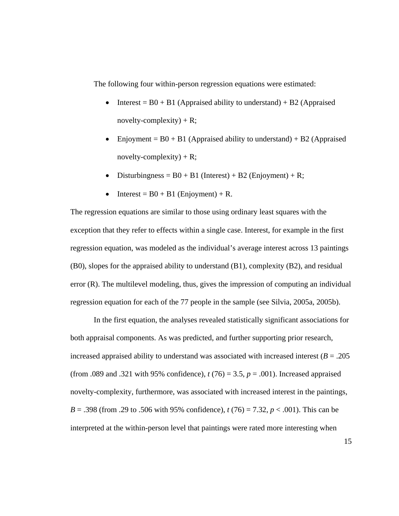The following four within-person regression equations were estimated:

- Interest =  $B0 + B1$  (Appraised ability to understand) + B2 (Appraised novelty-complexity) + R;
- Enjoyment =  $B0 + B1$  (Appraised ability to understand) + B2 (Appraised novelty-complexity) + R;
- Disturbingness =  $B0 + B1$  (Interest) + B2 (Enjoyment) + R;
- Interest =  $B0 + B1$  (Enjoyment) + R.

The regression equations are similar to those using ordinary least squares with the exception that they refer to effects within a single case. Interest, for example in the first regression equation, was modeled as the individual's average interest across 13 paintings (B0), slopes for the appraised ability to understand (B1), complexity (B2), and residual error (R). The multilevel modeling, thus, gives the impression of computing an individual regression equation for each of the 77 people in the sample (see Silvia, 2005a, 2005b).

In the first equation, the analyses revealed statistically significant associations for both appraisal components. As was predicted, and further supporting prior research, increased appraised ability to understand was associated with increased interest (*B* = .205 (from .089 and .321 with 95% confidence), *t* (76) = 3.5, *p* = .001). Increased appraised novelty-complexity, furthermore, was associated with increased interest in the paintings, *B* = .398 (from .29 to .506 with 95% confidence), *t* (76) = 7.32, *p* < .001). This can be interpreted at the within-person level that paintings were rated more interesting when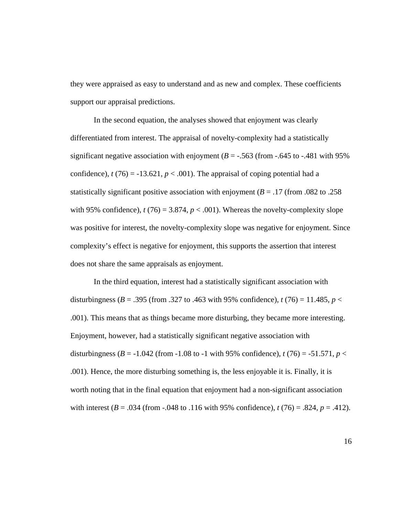they were appraised as easy to understand and as new and complex. These coefficients support our appraisal predictions.

In the second equation, the analyses showed that enjoyment was clearly differentiated from interest. The appraisal of novelty-complexity had a statistically significant negative association with enjoyment ( $B = -0.563$  (from  $-0.645$  to  $-0.481$  with 95%) confidence),  $t(76) = -13.621$ ,  $p < .001$ ). The appraisal of coping potential had a statistically significant positive association with enjoyment ( $B = .17$  (from .082 to .258) with 95% confidence),  $t(76) = 3.874$ ,  $p < .001$ ). Whereas the novelty-complexity slope was positive for interest, the novelty-complexity slope was negative for enjoyment. Since complexity's effect is negative for enjoyment, this supports the assertion that interest does not share the same appraisals as enjoyment.

In the third equation, interest had a statistically significant association with disturbingness ( $B = .395$  (from .327 to .463 with 95% confidence),  $t(76) = 11.485$ ,  $p <$ .001). This means that as things became more disturbing, they became more interesting. Enjoyment, however, had a statistically significant negative association with disturbingness ( $B = -1.042$  (from  $-1.08$  to  $-1$  with 95% confidence),  $t(76) = -51.571$ ,  $p <$ .001). Hence, the more disturbing something is, the less enjoyable it is. Finally, it is worth noting that in the final equation that enjoyment had a non-significant association with interest  $(B = .034$  (from  $-.048$  to  $.116$  with 95% confidence),  $t(76) = .824$ ,  $p = .412$ ).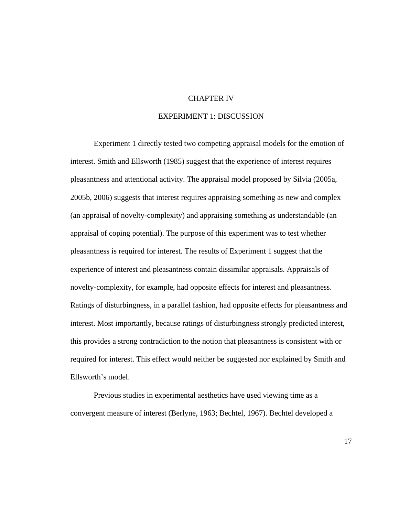#### CHAPTER IV

#### EXPERIMENT 1: DISCUSSION

 Experiment 1 directly tested two competing appraisal models for the emotion of interest. Smith and Ellsworth (1985) suggest that the experience of interest requires pleasantness and attentional activity. The appraisal model proposed by Silvia (2005a, 2005b, 2006) suggests that interest requires appraising something as new and complex (an appraisal of novelty-complexity) and appraising something as understandable (an appraisal of coping potential). The purpose of this experiment was to test whether pleasantness is required for interest. The results of Experiment 1 suggest that the experience of interest and pleasantness contain dissimilar appraisals. Appraisals of novelty-complexity, for example, had opposite effects for interest and pleasantness. Ratings of disturbingness, in a parallel fashion, had opposite effects for pleasantness and interest. Most importantly, because ratings of disturbingness strongly predicted interest, this provides a strong contradiction to the notion that pleasantness is consistent with or required for interest. This effect would neither be suggested nor explained by Smith and Ellsworth's model.

 Previous studies in experimental aesthetics have used viewing time as a convergent measure of interest (Berlyne, 1963; Bechtel, 1967). Bechtel developed a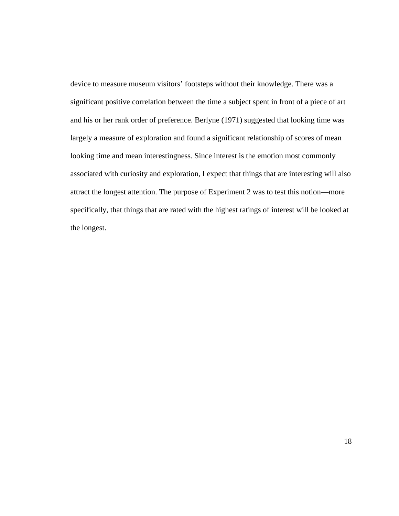device to measure museum visitors' footsteps without their knowledge. There was a significant positive correlation between the time a subject spent in front of a piece of art and his or her rank order of preference. Berlyne (1971) suggested that looking time was largely a measure of exploration and found a significant relationship of scores of mean looking time and mean interestingness. Since interest is the emotion most commonly associated with curiosity and exploration, I expect that things that are interesting will also attract the longest attention. The purpose of Experiment 2 was to test this notion—more specifically, that things that are rated with the highest ratings of interest will be looked at the longest.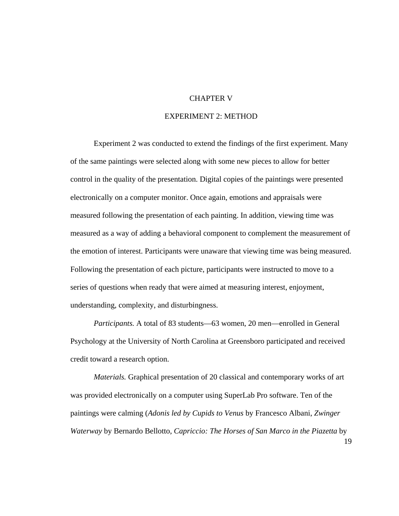#### CHAPTER V

## EXPERIMENT 2: METHOD

 Experiment 2 was conducted to extend the findings of the first experiment. Many of the same paintings were selected along with some new pieces to allow for better control in the quality of the presentation. Digital copies of the paintings were presented electronically on a computer monitor. Once again, emotions and appraisals were measured following the presentation of each painting. In addition, viewing time was measured as a way of adding a behavioral component to complement the measurement of the emotion of interest. Participants were unaware that viewing time was being measured. Following the presentation of each picture, participants were instructed to move to a series of questions when ready that were aimed at measuring interest, enjoyment, understanding, complexity, and disturbingness.

*Participants.* A total of 83 students—63 women, 20 men—enrolled in General Psychology at the University of North Carolina at Greensboro participated and received credit toward a research option.

*Materials.* Graphical presentation of 20 classical and contemporary works of art was provided electronically on a computer using SuperLab Pro software. Ten of the paintings were calming (*Adonis led by Cupids to Venus* by Francesco Albani, *Zwinger Waterway* by Bernardo Bellotto, *Capriccio: The Horses of San Marco in the Piazetta* by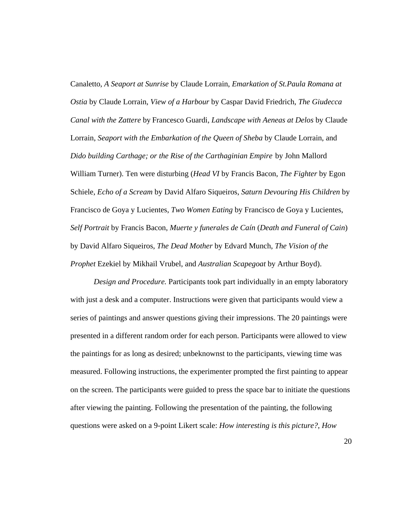Canaletto, *A Seaport at Sunrise* by Claude Lorrain, *Emarkation of St.Paula Romana at Ostia* by Claude Lorrain, *View of a Harbour* by Caspar David Friedrich, *The Giudecca Canal with the Zattere* by Francesco Guardi, *Landscape with Aeneas at Delos* by Claude Lorrain, *Seaport with the Embarkation of the Queen of Sheba* by Claude Lorrain, and *Dido building Carthage; or the Rise of the Carthaginian Empire* by John Mallord William Turner). Ten were disturbing (*Head VI* by Francis Bacon, *The Fighter* by Egon Schiele, *Echo of a Scream* by David Alfaro Siqueiros, *Saturn Devouring His Children* by Francisco de Goya y Lucientes, *Two Women Eating* by Francisco de Goya y Lucientes, *Self Portrait* by Francis Bacon, *Muerte y funerales de Caín* (*Death and Funeral of Cain*) by David Alfaro Siqueiros, *The Dead Mother* by Edvard Munch, *The Vision of the Prophet* Ezekiel by Mikhail Vrubel, and *Australian Scapegoat* by Arthur Boyd).

*Design and Procedure.* Participants took part individually in an empty laboratory with just a desk and a computer. Instructions were given that participants would view a series of paintings and answer questions giving their impressions. The 20 paintings were presented in a different random order for each person. Participants were allowed to view the paintings for as long as desired; unbeknownst to the participants, viewing time was measured. Following instructions, the experimenter prompted the first painting to appear on the screen. The participants were guided to press the space bar to initiate the questions after viewing the painting. Following the presentation of the painting, the following questions were asked on a 9-point Likert scale: *How interesting is this picture?*, *How*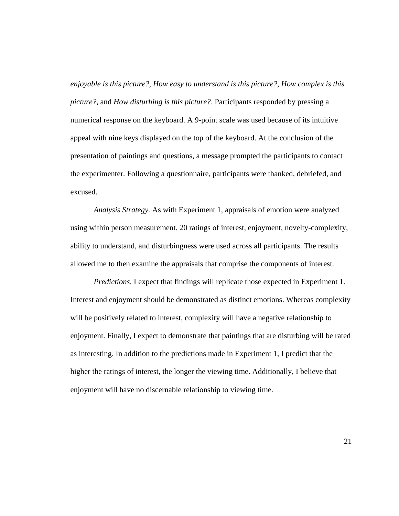*enjoyable is this picture?*, *How easy to understand is this picture?*, *How complex is this picture?*, and *How disturbing is this picture?*. Participants responded by pressing a numerical response on the keyboard. A 9-point scale was used because of its intuitive appeal with nine keys displayed on the top of the keyboard. At the conclusion of the presentation of paintings and questions, a message prompted the participants to contact the experimenter. Following a questionnaire, participants were thanked, debriefed, and excused.

*Analysis Strategy.* As with Experiment 1, appraisals of emotion were analyzed using within person measurement. 20 ratings of interest, enjoyment, novelty-complexity, ability to understand, and disturbingness were used across all participants. The results allowed me to then examine the appraisals that comprise the components of interest.

*Predictions.* I expect that findings will replicate those expected in Experiment 1. Interest and enjoyment should be demonstrated as distinct emotions. Whereas complexity will be positively related to interest, complexity will have a negative relationship to enjoyment. Finally, I expect to demonstrate that paintings that are disturbing will be rated as interesting. In addition to the predictions made in Experiment 1, I predict that the higher the ratings of interest, the longer the viewing time. Additionally, I believe that enjoyment will have no discernable relationship to viewing time.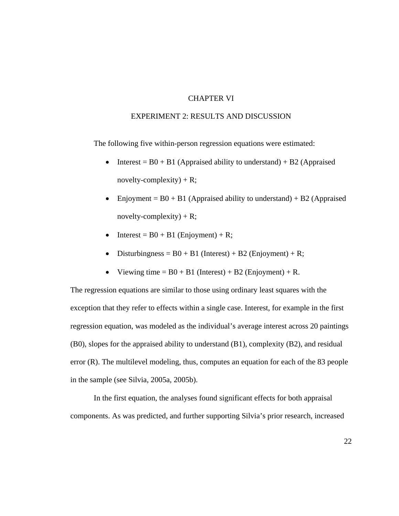#### CHAPTER VI

### EXPERIMENT 2: RESULTS AND DISCUSSION

The following five within-person regression equations were estimated:

- Interest =  $B0 + B1$  (Appraised ability to understand) + B2 (Appraised novelty-complexity) +  $R$ ;
- Enjoyment =  $B0 + B1$  (Appraised ability to understand) + B2 (Appraised novelty-complexity) +  $R$ ;
- Interest =  $B0 + B1$  (Enjoyment) + R;
- Disturbingness =  $B0 + B1$  (Interest) + B2 (Enjoyment) + R;
- Viewing time  $= B0 + B1$  (Interest) + B2 (Enjoyment) + R.

The regression equations are similar to those using ordinary least squares with the exception that they refer to effects within a single case. Interest, for example in the first regression equation, was modeled as the individual's average interest across 20 paintings (B0), slopes for the appraised ability to understand (B1), complexity (B2), and residual error (R). The multilevel modeling, thus, computes an equation for each of the 83 people in the sample (see Silvia, 2005a, 2005b).

In the first equation, the analyses found significant effects for both appraisal components. As was predicted, and further supporting Silvia's prior research, increased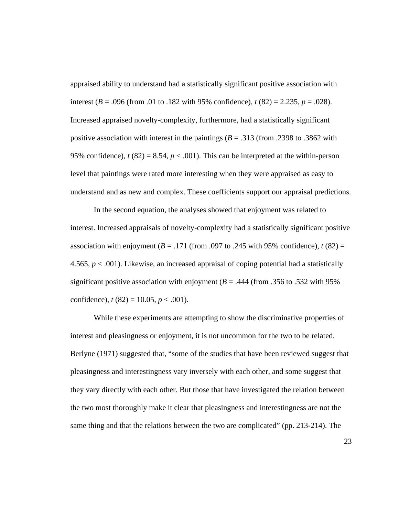appraised ability to understand had a statistically significant positive association with interest ( $B = .096$  (from .01 to .182 with 95% confidence),  $t(82) = 2.235$ ,  $p = .028$ ). Increased appraised novelty-complexity, furthermore, had a statistically significant positive association with interest in the paintings  $(B = .313)$  (from .2398 to .3862 with 95% confidence),  $t(82) = 8.54$ ,  $p < .001$ ). This can be interpreted at the within-person level that paintings were rated more interesting when they were appraised as easy to understand and as new and complex. These coefficients support our appraisal predictions.

In the second equation, the analyses showed that enjoyment was related to interest. Increased appraisals of novelty-complexity had a statistically significant positive association with enjoyment  $(B = .171$  (from .097 to .245 with 95% confidence),  $t(82) =$ 4.565, *p* < .001). Likewise, an increased appraisal of coping potential had a statistically significant positive association with enjoyment  $(B = .444$  (from .356 to .532 with 95%) confidence),  $t(82) = 10.05$ ,  $p < .001$ ).

While these experiments are attempting to show the discriminative properties of interest and pleasingness or enjoyment, it is not uncommon for the two to be related. Berlyne (1971) suggested that, "some of the studies that have been reviewed suggest that pleasingness and interestingness vary inversely with each other, and some suggest that they vary directly with each other. But those that have investigated the relation between the two most thoroughly make it clear that pleasingness and interestingness are not the same thing and that the relations between the two are complicated" (pp. 213-214). The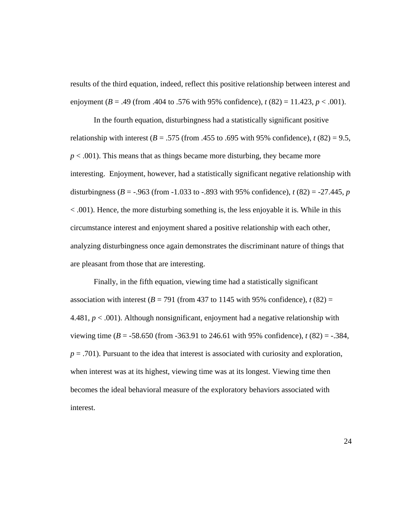results of the third equation, indeed, reflect this positive relationship between interest and enjoyment (*B* = .49 (from .404 to .576 with 95% confidence), *t* (82) = 11.423, *p* < .001).

In the fourth equation, disturbingness had a statistically significant positive relationship with interest ( $B = .575$  (from .455 to .695 with 95% confidence),  $t(82) = 9.5$ ,  $p < .001$ ). This means that as things became more disturbing, they became more interesting. Enjoyment, however, had a statistically significant negative relationship with disturbingness ( $B = -0.963$  (from  $-1.033$  to  $-0.893$  with 95% confidence),  $t(82) = -27.445$ ,  $p = -0.963$ < .001). Hence, the more disturbing something is, the less enjoyable it is. While in this circumstance interest and enjoyment shared a positive relationship with each other, analyzing disturbingness once again demonstrates the discriminant nature of things that are pleasant from those that are interesting.

Finally, in the fifth equation, viewing time had a statistically significant association with interest  $(B = 791$  (from 437 to 1145 with 95% confidence),  $t(82) =$ 4.481, *p* < .001). Although nonsignificant, enjoyment had a negative relationship with viewing time (*B* = -58.650 (from -363.91 to 246.61 with 95% confidence), *t* (82) = -.384,  $p = .701$ ). Pursuant to the idea that interest is associated with curiosity and exploration, when interest was at its highest, viewing time was at its longest. Viewing time then becomes the ideal behavioral measure of the exploratory behaviors associated with interest.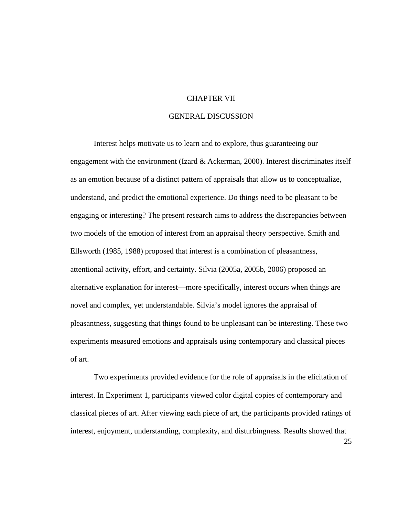#### CHAPTER VII

## GENERAL DISCUSSION

Interest helps motivate us to learn and to explore, thus guaranteeing our engagement with the environment (Izard  $&$  Ackerman, 2000). Interest discriminates itself as an emotion because of a distinct pattern of appraisals that allow us to conceptualize, understand, and predict the emotional experience. Do things need to be pleasant to be engaging or interesting? The present research aims to address the discrepancies between two models of the emotion of interest from an appraisal theory perspective. Smith and Ellsworth (1985, 1988) proposed that interest is a combination of pleasantness, attentional activity, effort, and certainty. Silvia (2005a, 2005b, 2006) proposed an alternative explanation for interest—more specifically, interest occurs when things are novel and complex, yet understandable. Silvia's model ignores the appraisal of pleasantness, suggesting that things found to be unpleasant can be interesting. These two experiments measured emotions and appraisals using contemporary and classical pieces of art.

Two experiments provided evidence for the role of appraisals in the elicitation of interest. In Experiment 1, participants viewed color digital copies of contemporary and classical pieces of art. After viewing each piece of art, the participants provided ratings of interest, enjoyment, understanding, complexity, and disturbingness. Results showed that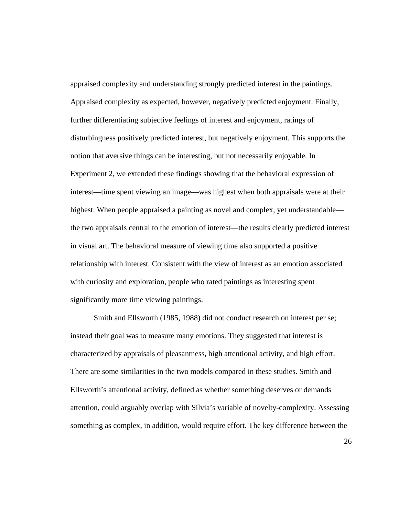appraised complexity and understanding strongly predicted interest in the paintings. Appraised complexity as expected, however, negatively predicted enjoyment. Finally, further differentiating subjective feelings of interest and enjoyment, ratings of disturbingness positively predicted interest, but negatively enjoyment. This supports the notion that aversive things can be interesting, but not necessarily enjoyable. In Experiment 2, we extended these findings showing that the behavioral expression of interest—time spent viewing an image—was highest when both appraisals were at their highest. When people appraised a painting as novel and complex, yet understandable the two appraisals central to the emotion of interest—the results clearly predicted interest in visual art. The behavioral measure of viewing time also supported a positive relationship with interest. Consistent with the view of interest as an emotion associated with curiosity and exploration, people who rated paintings as interesting spent significantly more time viewing paintings.

Smith and Ellsworth (1985, 1988) did not conduct research on interest per se; instead their goal was to measure many emotions. They suggested that interest is characterized by appraisals of pleasantness, high attentional activity, and high effort. There are some similarities in the two models compared in these studies. Smith and Ellsworth's attentional activity, defined as whether something deserves or demands attention, could arguably overlap with Silvia's variable of novelty-complexity. Assessing something as complex, in addition, would require effort. The key difference between the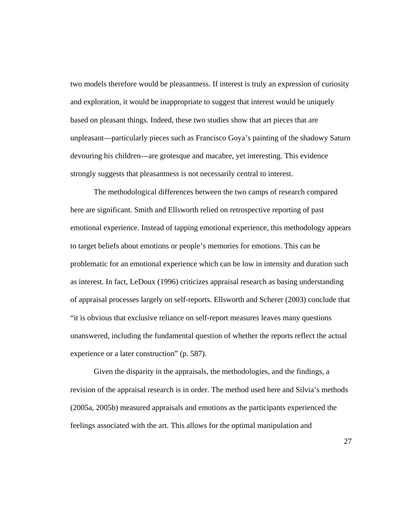two models therefore would be pleasantness. If interest is truly an expression of curiosity and exploration, it would be inappropriate to suggest that interest would be uniquely based on pleasant things. Indeed, these two studies show that art pieces that are unpleasant—particularly pieces such as Francisco Goya's painting of the shadowy Saturn devouring his children—are grotesque and macabre, yet interesting. This evidence strongly suggests that pleasantness is not necessarily central to interest.

The methodological differences between the two camps of research compared here are significant. Smith and Ellsworth relied on retrospective reporting of past emotional experience. Instead of tapping emotional experience, this methodology appears to target beliefs about emotions or people's memories for emotions. This can be problematic for an emotional experience which can be low in intensity and duration such as interest. In fact, LeDoux (1996) criticizes appraisal research as basing understanding of appraisal processes largely on self-reports. Ellsworth and Scherer (2003) conclude that "it is obvious that exclusive reliance on self-report measures leaves many questions unanswered, including the fundamental question of whether the reports reflect the actual experience or a later construction" (p. 587).

Given the disparity in the appraisals, the methodologies, and the findings, a revision of the appraisal research is in order. The method used here and Silvia's methods (2005a, 2005b) measured appraisals and emotions as the participants experienced the feelings associated with the art. This allows for the optimal manipulation and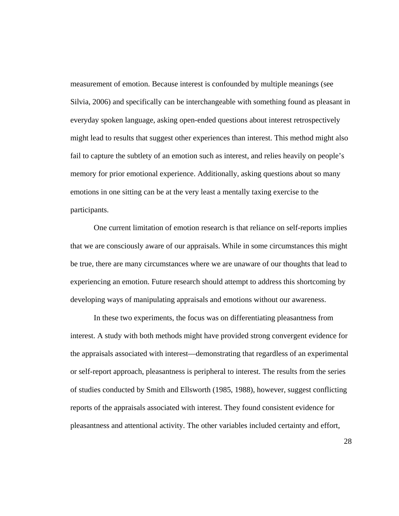measurement of emotion. Because interest is confounded by multiple meanings (see Silvia, 2006) and specifically can be interchangeable with something found as pleasant in everyday spoken language, asking open-ended questions about interest retrospectively might lead to results that suggest other experiences than interest. This method might also fail to capture the subtlety of an emotion such as interest, and relies heavily on people's memory for prior emotional experience. Additionally, asking questions about so many emotions in one sitting can be at the very least a mentally taxing exercise to the participants.

One current limitation of emotion research is that reliance on self-reports implies that we are consciously aware of our appraisals. While in some circumstances this might be true, there are many circumstances where we are unaware of our thoughts that lead to experiencing an emotion. Future research should attempt to address this shortcoming by developing ways of manipulating appraisals and emotions without our awareness.

In these two experiments, the focus was on differentiating pleasantness from interest. A study with both methods might have provided strong convergent evidence for the appraisals associated with interest—demonstrating that regardless of an experimental or self-report approach, pleasantness is peripheral to interest. The results from the series of studies conducted by Smith and Ellsworth (1985, 1988), however, suggest conflicting reports of the appraisals associated with interest. They found consistent evidence for pleasantness and attentional activity. The other variables included certainty and effort,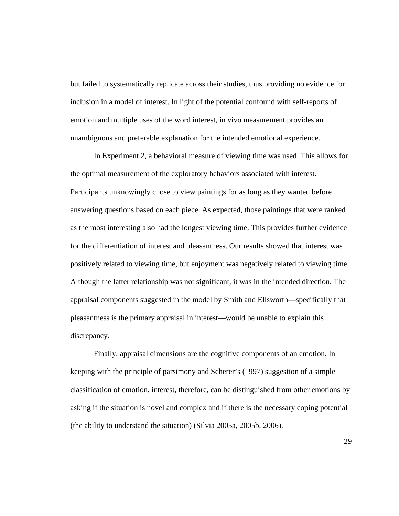but failed to systematically replicate across their studies, thus providing no evidence for inclusion in a model of interest. In light of the potential confound with self-reports of emotion and multiple uses of the word interest, in vivo measurement provides an unambiguous and preferable explanation for the intended emotional experience.

 In Experiment 2, a behavioral measure of viewing time was used. This allows for the optimal measurement of the exploratory behaviors associated with interest. Participants unknowingly chose to view paintings for as long as they wanted before answering questions based on each piece. As expected, those paintings that were ranked as the most interesting also had the longest viewing time. This provides further evidence for the differentiation of interest and pleasantness. Our results showed that interest was positively related to viewing time, but enjoyment was negatively related to viewing time. Although the latter relationship was not significant, it was in the intended direction. The appraisal components suggested in the model by Smith and Ellsworth—specifically that pleasantness is the primary appraisal in interest—would be unable to explain this discrepancy.

Finally, appraisal dimensions are the cognitive components of an emotion. In keeping with the principle of parsimony and Scherer's (1997) suggestion of a simple classification of emotion, interest, therefore, can be distinguished from other emotions by asking if the situation is novel and complex and if there is the necessary coping potential (the ability to understand the situation) (Silvia 2005a, 2005b, 2006).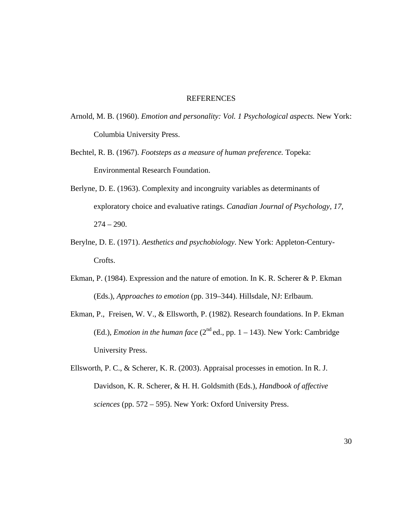#### REFERENCES

- Arnold, M. B. (1960). *Emotion and personality: Vol. 1 Psychological aspects.* New York: Columbia University Press.
- Bechtel, R. B. (1967). *Footsteps as a measure of human preference.* Topeka: Environmental Research Foundation.
- Berlyne, D. E. (1963). Complexity and incongruity variables as determinants of exploratory choice and evaluative ratings. *Canadian Journal of Psychology, 17,*   $274 - 290.$
- Berylne, D. E. (1971). *Aesthetics and psychobiology*. New York: Appleton-Century-Crofts.
- Ekman, P. (1984). Expression and the nature of emotion. In K. R. Scherer & P. Ekman (Eds.), *Approaches to emotion* (pp. 319–344). Hillsdale, NJ: Erlbaum.
- Ekman, P., Freisen, W. V., & Ellsworth, P. (1982). Research foundations. In P. Ekman (Ed.), *Emotion in the human face*  $(2^{nd}$  ed., pp.  $1 - 143)$ . New York: Cambridge University Press.
- Ellsworth, P. C., & Scherer, K. R. (2003). Appraisal processes in emotion. In R. J. Davidson, K. R. Scherer, & H. H. Goldsmith (Eds.), *Handbook of affective sciences* (pp. 572 – 595). New York: Oxford University Press.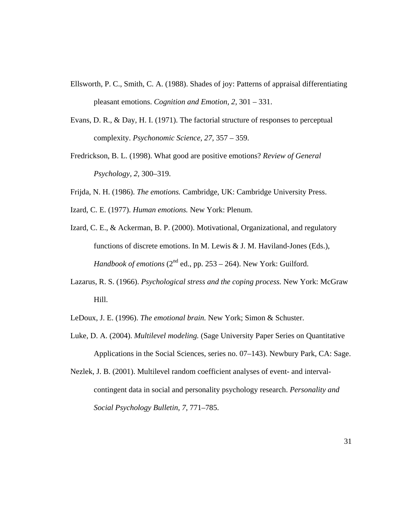- Ellsworth, P. C., Smith, C. A. (1988). Shades of joy: Patterns of appraisal differentiating pleasant emotions. *Cognition and Emotion, 2,* 301 – 331.
- Evans, D. R., & Day, H. I. (1971). The factorial structure of responses to perceptual complexity. *Psychonomic Science, 27,* 357 – 359.
- Fredrickson, B. L. (1998). What good are positive emotions? *Review of General Psychology, 2,* 300–319.
- Frijda, N. H. (1986). *The emotions.* Cambridge, UK: Cambridge University Press.
- Izard, C. E. (1977). *Human emotions.* New York: Plenum.
- Izard, C. E., & Ackerman, B. P. (2000). Motivational, Organizational, and regulatory functions of discrete emotions. In M. Lewis & J. M. Haviland-Jones (Eds.), *Handbook of emotions*  $(2^{nd}$  ed., pp. 253 – 264). New York: Guilford.
- Lazarus, R. S. (1966). *Psychological stress and the coping process.* New York: McGraw Hill.
- LeDoux, J. E. (1996). *The emotional brain.* New York; Simon & Schuster.
- Luke, D. A. (2004). *Multilevel modeling.* (Sage University Paper Series on Quantitative Applications in the Social Sciences, series no. 07–143). Newbury Park, CA: Sage.
- Nezlek, J. B. (2001). Multilevel random coefficient analyses of event- and intervalcontingent data in social and personality psychology research. *Personality and Social Psychology Bulletin, 7,* 771–785.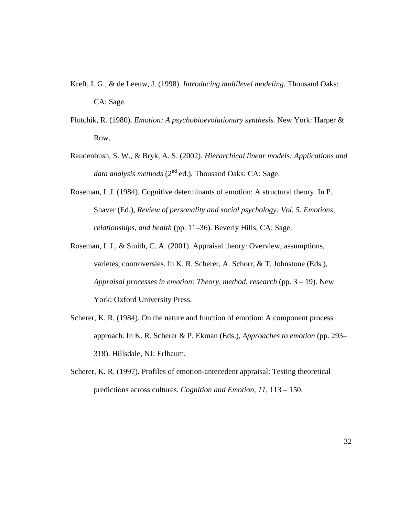- Kreft, I. G., & de Leeuw, J. (1998). *Introducing multilevel modeling.* Thousand Oaks: CA: Sage.
- Plutchik, R. (1980). *Emotion: A psychobioevolutionary synthesis.* New York: Harper & Row.
- Raudenbush, S. W., & Bryk, A. S. (2002). *Hierarchical linear models: Applications and data analysis methods* (2<sup>nd</sup> ed.). Thousand Oaks: CA: Sage.
- Roseman, I. J. (1984). Cognitive determinants of emotion: A structural theory. In P. Shaver (Ed.), *Review of personality and social psychology: Vol. 5. Emotions, relationships, and health* (pp. 11–36). Beverly Hills, CA: Sage.
- Roseman, I. J., & Smith, C. A. (2001). Appraisal theory: Overview, assumptions, varietes, controversies. In K. R. Scherer, A. Schorr, & T. Johnstone (Eds.), *Appraisal processes in emotion: Theory, method, research* (pp. 3 – 19). New York: Oxford University Press.
- Scherer, K. R. (1984). On the nature and function of emotion: A component process approach. In K. R. Scherer & P. Ekman (Eds.), *Approaches to emotion* (pp. 293– 318). Hillsdale, NJ: Erlbaum.
- Scherer, K. R. (1997). Profiles of emotion-antecedent appraisal: Testing theoretical predictions across cultures. *Cognition and Emotion, 11,* 113 – 150.